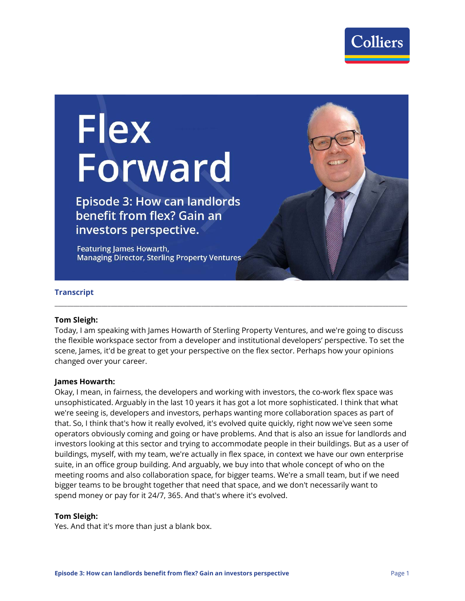

# **Flex** Forward

**Episode 3: How can landlords** benefit from flex? Gain an investors perspective.

**Featuring James Howarth, Managing Director, Sterling Property Ventures** 

#### **Transcript**

#### **Tom Sleigh:**

Today, I am speaking with James Howarth of Sterling Property Ventures, and we're going to discuss the flexible workspace sector from a developer and institutional developers' perspective. To set the scene, James, it'd be great to get your perspective on the flex sector. Perhaps how your opinions changed over your career.

**\_\_\_\_\_\_\_\_\_\_\_\_\_\_\_\_\_\_\_\_\_\_\_\_\_\_\_\_\_\_\_\_\_\_\_\_\_\_\_\_\_\_\_\_\_\_\_\_\_\_\_\_\_\_\_\_\_\_\_\_\_\_\_\_\_\_\_\_\_\_\_\_\_\_\_\_\_\_\_\_\_\_\_\_\_\_\_\_\_\_\_\_\_\_\_\_\_\_\_\_\_\_\_\_\_\_\_\_\_\_\_\_\_**

#### **James Howarth:**

Okay, I mean, in fairness, the developers and working with investors, the co-work flex space was unsophisticated. Arguably in the last 10 years it has got a lot more sophisticated. I think that what we're seeing is, developers and investors, perhaps wanting more collaboration spaces as part of that. So, I think that's how it really evolved, it's evolved quite quickly, right now we've seen some operators obviously coming and going or have problems. And that is also an issue for landlords and investors looking at this sector and trying to accommodate people in their buildings. But as a user of buildings, myself, with my team, we're actually in flex space, in context we have our own enterprise suite, in an office group building. And arguably, we buy into that whole concept of who on the meeting rooms and also collaboration space, for bigger teams. We're a small team, but if we need bigger teams to be brought together that need that space, and we don't necessarily want to spend money or pay for it 24/7, 365. And that's where it's evolved.

#### **Tom Sleigh:**

Yes. And that it's more than just a blank box.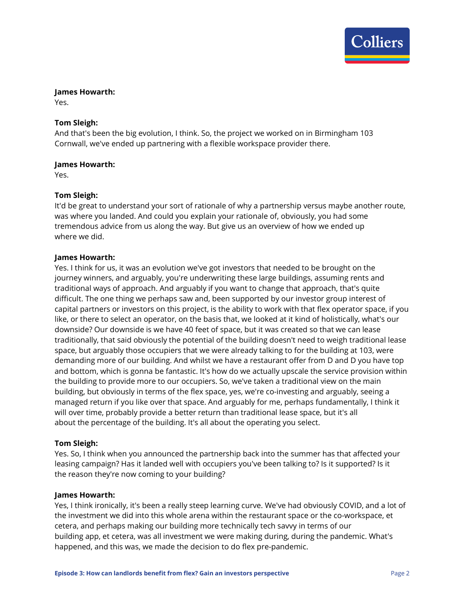

# **James Howarth:**

Yes.

# **Tom Sleigh:**

And that's been the big evolution, I think. So, the project we worked on in Birmingham 103 Cornwall, we've ended up partnering with a flexible workspace provider there.

# **James Howarth:**

Yes.

# **Tom Sleigh:**

It'd be great to understand your sort of rationale of why a partnership versus maybe another route, was where you landed. And could you explain your rationale of, obviously, you had some tremendous advice from us along the way. But give us an overview of how we ended up where we did.

# **James Howarth:**

Yes. I think for us, it was an evolution we've got investors that needed to be brought on the journey winners, and arguably, you're underwriting these large buildings, assuming rents and traditional ways of approach. And arguably if you want to change that approach, that's quite difficult. The one thing we perhaps saw and, been supported by our investor group interest of capital partners or investors on this project, is the ability to work with that flex operator space, if you like, or there to select an operator, on the basis that, we looked at it kind of holistically, what's our downside? Our downside is we have 40 feet of space, but it was created so that we can lease traditionally, that said obviously the potential of the building doesn't need to weigh traditional lease space, but arguably those occupiers that we were already talking to for the building at 103, were demanding more of our building. And whilst we have a restaurant offer from D and D you have top and bottom, which is gonna be fantastic. It's how do we actually upscale the service provision within the building to provide more to our occupiers. So, we've taken a traditional view on the main building, but obviously in terms of the flex space, yes, we're co-investing and arguably, seeing a managed return if you like over that space. And arguably for me, perhaps fundamentally, I think it will over time, probably provide a better return than traditional lease space, but it's all about the percentage of the building. It's all about the operating you select.

#### **Tom Sleigh:**

Yes. So, I think when you announced the partnership back into the summer has that affected your leasing campaign? Has it landed well with occupiers you've been talking to? Is it supported? Is it the reason they're now coming to your building?

#### **James Howarth:**

Yes, I think ironically, it's been a really steep learning curve. We've had obviously COVID, and a lot of the investment we did into this whole arena within the restaurant space or the co-workspace, et cetera, and perhaps making our building more technically tech savvy in terms of our building app, et cetera, was all investment we were making during, during the pandemic. What's happened, and this was, we made the decision to do flex pre-pandemic.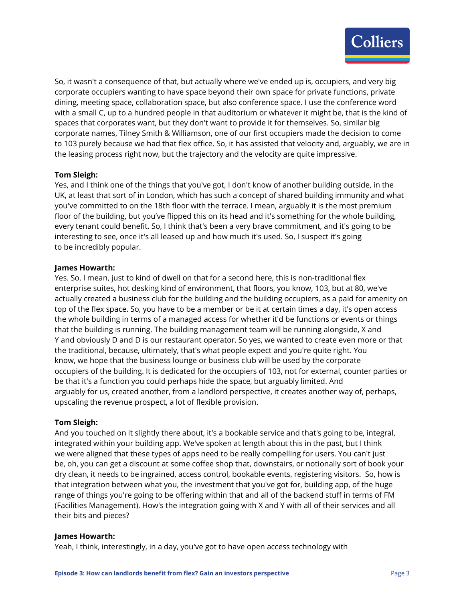

So, it wasn't a consequence of that, but actually where we've ended up is, occupiers, and very big corporate occupiers wanting to have space beyond their own space for private functions, private dining, meeting space, collaboration space, but also conference space. I use the conference word with a small C, up to a hundred people in that auditorium or whatever it might be, that is the kind of spaces that corporates want, but they don't want to provide it for themselves. So, similar big corporate names, Tilney Smith & Williamson, one of our first occupiers made the decision to come to 103 purely because we had that flex office. So, it has assisted that velocity and, arguably, we are in the leasing process right now, but the trajectory and the velocity are quite impressive.

# **Tom Sleigh:**

Yes, and I think one of the things that you've got, I don't know of another building outside, in the UK, at least that sort of in London, which has such a concept of shared building immunity and what you've committed to on the 18th floor with the terrace. I mean, arguably it is the most premium floor of the building, but you've flipped this on its head and it's something for the whole building, every tenant could benefit. So, I think that's been a very brave commitment, and it's going to be interesting to see, once it's all leased up and how much it's used. So, I suspect it's going to be incredibly popular.

#### **James Howarth:**

Yes. So, I mean, just to kind of dwell on that for a second here, this is non-traditional flex enterprise suites, hot desking kind of environment, that floors, you know, 103, but at 80, we've actually created a business club for the building and the building occupiers, as a paid for amenity on top of the flex space. So, you have to be a member or be it at certain times a day, it's open access the whole building in terms of a managed access for whether it'd be functions or events or things that the building is running. The building management team will be running alongside, X and Y and obviously D and D is our restaurant operator. So yes, we wanted to create even more or that the traditional, because, ultimately, that's what people expect and you're quite right. You know, we hope that the business lounge or business club will be used by the corporate occupiers of the building. It is dedicated for the occupiers of 103, not for external, counter parties or be that it's a function you could perhaps hide the space, but arguably limited. And arguably for us, created another, from a landlord perspective, it creates another way of, perhaps, upscaling the revenue prospect, a lot of flexible provision.

#### **Tom Sleigh:**

And you touched on it slightly there about, it's a bookable service and that's going to be, integral, integrated within your building app. We've spoken at length about this in the past, but I think we were aligned that these types of apps need to be really compelling for users. You can't just be, oh, you can get a discount at some coffee shop that, downstairs, or notionally sort of book your dry clean, it needs to be ingrained, access control, bookable events, registering visitors. So, how is that integration between what you, the investment that you've got for, building app, of the huge range of things you're going to be offering within that and all of the backend stuff in terms of FM (Facilities Management). How's the integration going with X and Y with all of their services and all their bits and pieces?

#### **James Howarth:**

Yeah, I think, interestingly, in a day, you've got to have open access technology with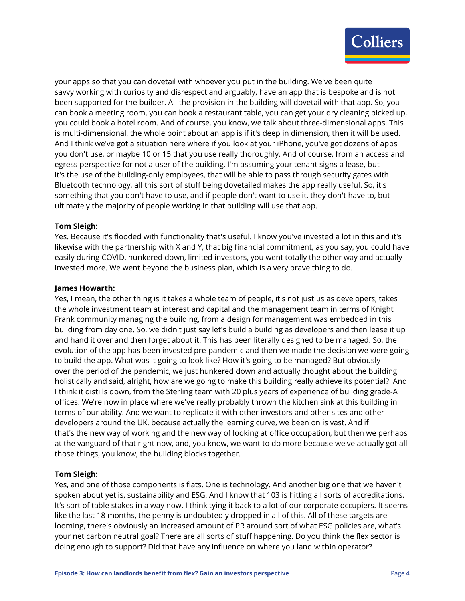

your apps so that you can dovetail with whoever you put in the building. We've been quite savvy working with curiosity and disrespect and arguably, have an app that is bespoke and is not been supported for the builder. All the provision in the building will dovetail with that app. So, you can book a meeting room, you can book a restaurant table, you can get your dry cleaning picked up, you could book a hotel room. And of course, you know, we talk about three-dimensional apps. This is multi-dimensional, the whole point about an app is if it's deep in dimension, then it will be used. And I think we've got a situation here where if you look at your iPhone, you've got dozens of apps you don't use, or maybe 10 or 15 that you use really thoroughly. And of course, from an access and egress perspective for not a user of the building, I'm assuming your tenant signs a lease, but it's the use of the building-only employees, that will be able to pass through security gates with Bluetooth technology, all this sort of stuff being dovetailed makes the app really useful. So, it's something that you don't have to use, and if people don't want to use it, they don't have to, but ultimately the majority of people working in that building will use that app.

#### **Tom Sleigh:**

Yes. Because it's flooded with functionality that's useful. I know you've invested a lot in this and it's likewise with the partnership with X and Y, that big financial commitment, as you say, you could have easily during COVID, hunkered down, limited investors, you went totally the other way and actually invested more. We went beyond the business plan, which is a very brave thing to do.

#### **James Howarth:**

Yes, I mean, the other thing is it takes a whole team of people, it's not just us as developers, takes the whole investment team at interest and capital and the management team in terms of Knight Frank community managing the building, from a design for management was embedded in this building from day one. So, we didn't just say let's build a building as developers and then lease it up and hand it over and then forget about it. This has been literally designed to be managed. So, the evolution of the app has been invested pre-pandemic and then we made the decision we were going to build the app. What was it going to look like? How it's going to be managed? But obviously over the period of the pandemic, we just hunkered down and actually thought about the building holistically and said, alright, how are we going to make this building really achieve its potential? And I think it distills down, from the Sterling team with 20 plus years of experience of building grade-A offices. We're now in place where we've really probably thrown the kitchen sink at this building in terms of our ability. And we want to replicate it with other investors and other sites and other developers around the UK, because actually the learning curve, we been on is vast. And if that's the new way of working and the new way of looking at office occupation, but then we perhaps at the vanguard of that right now, and, you know, we want to do more because we've actually got all those things, you know, the building blocks together.

#### **Tom Sleigh:**

Yes, and one of those components is flats. One is technology. And another big one that we haven't spoken about yet is, sustainability and ESG. And I know that 103 is hitting all sorts of accreditations. It's sort of table stakes in a way now. I think tying it back to a lot of our corporate occupiers. It seems like the last 18 months, the penny is undoubtedly dropped in all of this. All of these targets are looming, there's obviously an increased amount of PR around sort of what ESG policies are, what's your net carbon neutral goal? There are all sorts of stuff happening. Do you think the flex sector is doing enough to support? Did that have any influence on where you land within operator?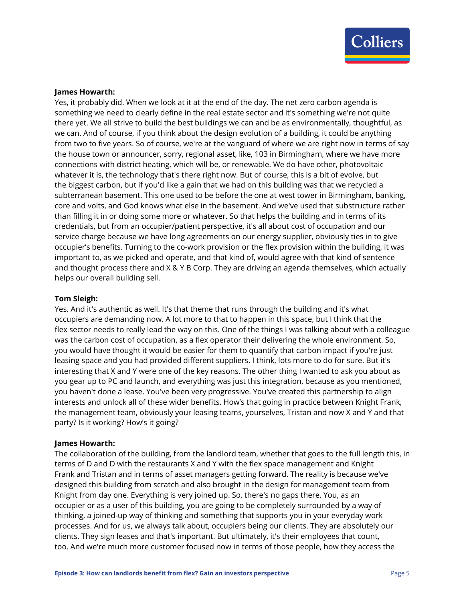

#### **James Howarth:**

Yes, it probably did. When we look at it at the end of the day. The net zero carbon agenda is something we need to clearly define in the real estate sector and it's something we're not quite there yet. We all strive to build the best buildings we can and be as environmentally, thoughtful, as we can. And of course, if you think about the design evolution of a building, it could be anything from two to five years. So of course, we're at the vanguard of where we are right now in terms of say the house town or announcer, sorry, regional asset, like, 103 in Birmingham, where we have more connections with district heating, which will be, or renewable. We do have other, photovoltaic whatever it is, the technology that's there right now. But of course, this is a bit of evolve, but the biggest carbon, but if you'd like a gain that we had on this building was that we recycled a subterranean basement. This one used to be before the one at west tower in Birmingham, banking, core and volts, and God knows what else in the basement. And we've used that substructure rather than filling it in or doing some more or whatever. So that helps the building and in terms of its credentials, but from an occupier/patient perspective, it's all about cost of occupation and our service charge because we have long agreements on our energy supplier, obviously ties in to give occupier's benefits. Turning to the co-work provision or the flex provision within the building, it was important to, as we picked and operate, and that kind of, would agree with that kind of sentence and thought process there and X & Y B Corp. They are driving an agenda themselves, which actually helps our overall building sell.

#### **Tom Sleigh:**

Yes. And it's authentic as well. It's that theme that runs through the building and it's what occupiers are demanding now. A lot more to that to happen in this space, but I think that the flex sector needs to really lead the way on this. One of the things I was talking about with a colleague was the carbon cost of occupation, as a flex operator their delivering the whole environment. So, you would have thought it would be easier for them to quantify that carbon impact if you're just leasing space and you had provided different suppliers. I think, lots more to do for sure. But it's interesting that X and Y were one of the key reasons. The other thing I wanted to ask you about as you gear up to PC and launch, and everything was just this integration, because as you mentioned, you haven't done a lease. You've been very progressive. You've created this partnership to align interests and unlock all of these wider benefits. How's that going in practice between Knight Frank, the management team, obviously your leasing teams, yourselves, Tristan and now X and Y and that party? Is it working? How's it going?

#### **James Howarth:**

The collaboration of the building, from the landlord team, whether that goes to the full length this, in terms of D and D with the restaurants X and Y with the flex space management and Knight Frank and Tristan and in terms of asset managers getting forward. The reality is because we've designed this building from scratch and also brought in the design for management team from Knight from day one. Everything is very joined up. So, there's no gaps there. You, as an occupier or as a user of this building, you are going to be completely surrounded by a way of thinking, a joined-up way of thinking and something that supports you in your everyday work processes. And for us, we always talk about, occupiers being our clients. They are absolutely our clients. They sign leases and that's important. But ultimately, it's their employees that count, too. And we're much more customer focused now in terms of those people, how they access the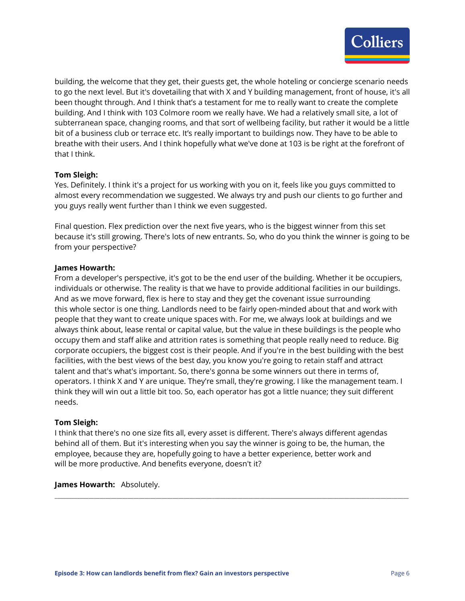

building, the welcome that they get, their guests get, the whole hoteling or concierge scenario needs to go the next level. But it's dovetailing that with X and Y building management, front of house, it's all been thought through. And I think that's a testament for me to really want to create the complete building. And I think with 103 Colmore room we really have. We had a relatively small site, a lot of subterranean space, changing rooms, and that sort of wellbeing facility, but rather it would be a little bit of a business club or terrace etc. It's really important to buildings now. They have to be able to breathe with their users. And I think hopefully what we've done at 103 is be right at the forefront of that I think.

# **Tom Sleigh:**

Yes. Definitely. I think it's a project for us working with you on it, feels like you guys committed to almost every recommendation we suggested. We always try and push our clients to go further and you guys really went further than I think we even suggested.

Final question. Flex prediction over the next five years, who is the biggest winner from this set because it's still growing. There's lots of new entrants. So, who do you think the winner is going to be from your perspective?

#### **James Howarth:**

From a developer's perspective, it's got to be the end user of the building. Whether it be occupiers, individuals or otherwise. The reality is that we have to provide additional facilities in our buildings. And as we move forward, flex is here to stay and they get the covenant issue surrounding this whole sector is one thing. Landlords need to be fairly open-minded about that and work with people that they want to create unique spaces with. For me, we always look at buildings and we always think about, lease rental or capital value, but the value in these buildings is the people who occupy them and staff alike and attrition rates is something that people really need to reduce. Big corporate occupiers, the biggest cost is their people. And if you're in the best building with the best facilities, with the best views of the best day, you know you're going to retain staff and attract talent and that's what's important. So, there's gonna be some winners out there in terms of, operators. I think X and Y are unique. They're small, they're growing. I like the management team. I think they will win out a little bit too. So, each operator has got a little nuance; they suit different needs.

#### **Tom Sleigh:**

I think that there's no one size fits all, every asset is different. There's always different agendas behind all of them. But it's interesting when you say the winner is going to be, the human, the employee, because they are, hopefully going to have a better experience, better work and will be more productive. And benefits everyone, doesn't it?

**\_\_\_\_\_\_\_\_\_\_\_\_\_\_\_\_\_\_\_\_\_\_\_\_\_\_\_\_\_\_\_\_\_\_\_\_\_\_\_\_\_\_\_\_\_\_\_\_\_\_\_\_\_\_\_\_\_\_\_\_\_\_\_\_\_\_\_\_\_\_\_\_\_\_\_\_\_\_\_\_\_\_\_\_\_\_\_\_\_\_\_\_\_\_\_\_\_\_\_\_\_\_\_\_\_\_\_\_\_\_\_\_\_\_\_\_\_\_\_\_\_\_\_\_\_\_**

**James Howarth:** Absolutely.